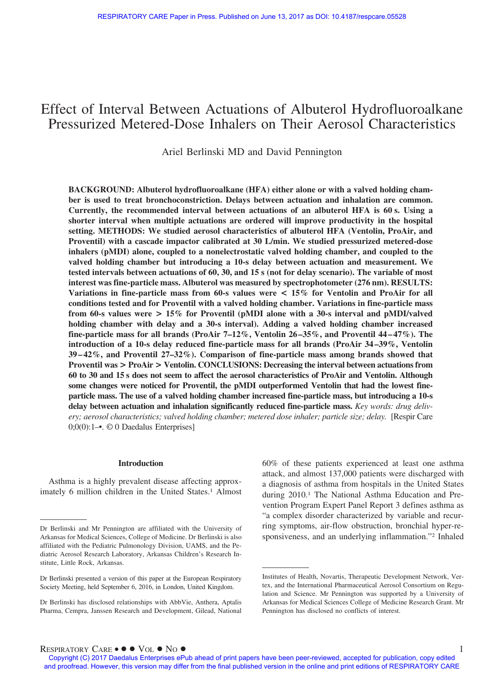# Effect of Interval Between Actuations of Albuterol Hydrofluoroalkane Pressurized Metered-Dose Inhalers on Their Aerosol Characteristics

Ariel Berlinski MD and David Pennington

**BACKGROUND: Albuterol hydrofluoroalkane (HFA) either alone or with a valved holding chamber is used to treat bronchoconstriction. Delays between actuation and inhalation are common. Currently, the recommended interval between actuations of an albuterol HFA is 60 s. Using a shorter interval when multiple actuations are ordered will improve productivity in the hospital setting. METHODS: We studied aerosol characteristics of albuterol HFA (Ventolin, ProAir, and Proventil) with a cascade impactor calibrated at 30 L/min. We studied pressurized metered-dose inhalers (pMDI) alone, coupled to a nonelectrostatic valved holding chamber, and coupled to the valved holding chamber but introducing a 10-s delay between actuation and measurement. We tested intervals between actuations of 60, 30, and 15 s (not for delay scenario). The variable of most interest was fine-particle mass. Albuterol was measured by spectrophotometer (276 nm). RESULTS: Variations in fine-particle mass from 60-s values were < 15% for Ventolin and ProAir for all conditions tested and for Proventil with a valved holding chamber. Variations in fine-particle mass from 60-s values were > 15% for Proventil (pMDI alone with a 30-s interval and pMDI/valved holding chamber with delay and a 30-s interval). Adding a valved holding chamber increased fine-particle mass for all brands (ProAir 7–12%, Ventolin 26 –35%, and Proventil 44 – 47%). The introduction of a 10-s delay reduced fine-particle mass for all brands (ProAir 34 –39%, Ventolin 39 – 42%, and Proventil 27–32%). Comparison of fine-particle mass among brands showed that Proventil was > ProAir > Ventolin. CONCLUSIONS: Decreasing the interval between actuations from 60 to 30 and 15 s does not seem to affect the aerosol characteristics of ProAir and Ventolin. Although some changes were noticed for Proventil, the pMDI outperformed Ventolin that had the lowest fineparticle mass. The use of a valved holding chamber increased fine-particle mass, but introducing a 10-s delay between actuation and inhalation significantly reduced fine-particle mass.** *Key words: drug delivery; aerosol characteristics; valved holding chamber; metered dose inhaler; particle size; delay.* [Respir Care 0;0(0):1–•. © 0 Daedalus Enterprises]

#### **Introduction**

Asthma is a highly prevalent disease affecting approximately 6 million children in the United States.<sup>1</sup> Almost 60% of these patients experienced at least one asthma attack, and almost 137,000 patients were discharged with a diagnosis of asthma from hospitals in the United States during 2010.1 The National Asthma Education and Prevention Program Expert Panel Report 3 defines asthma as "a complex disorder characterized by variable and recurring symptoms, air-flow obstruction, bronchial hyper-responsiveness, and an underlying inflammation."2 Inhaled

 $R$ ESPIRATORY  $C$ ARE •  $\bullet \bullet \text{Vol} \bullet \text{No} \bullet$ 

Dr Berlinski and Mr Pennington are affiliated with the University of Arkansas for Medical Sciences, College of Medicine. Dr Berlinski is also affiliated with the Pediatric Pulmonology Division, UAMS, and the Pediatric Aerosol Research Laboratory, Arkansas Children's Research Institute, Little Rock, Arkansas.

Dr Berlinski presented a version of this paper at the European Respiratory Society Meeting, held September 6, 2016, in London, United Kingdom.

Dr Berlinski has disclosed relationships with AbbVie, Anthera, Aptalis Pharma, Cempra, Janssen Research and Development, Gilead, National

Institutes of Health, Novartis, Therapeutic Development Network, Vertex, and the International Pharmaceutical Aerosol Consortium on Regulation and Science. Mr Pennington was supported by a University of Arkansas for Medical Sciences College of Medicine Research Grant. Mr Pennington has disclosed no conflicts of interest.

Copyright (C) 2017 Daedalus Enterprises ePub ahead of print papers have been peer-reviewed, accepted for publication, copy edited and proofread. However, this version may differ from the final published version in the online and print editions of RESPIRATORY CARE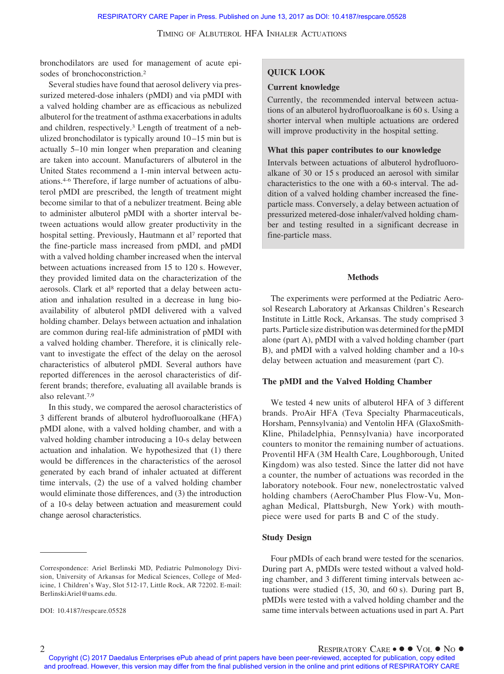bronchodilators are used for management of acute episodes of bronchoconstriction.2

Several studies have found that aerosol delivery via pressurized metered-dose inhalers (pMDI) and via pMDI with a valved holding chamber are as efficacious as nebulized albuterol for the treatment of asthma exacerbations in adults and children, respectively.3 Length of treatment of a nebulized bronchodilator is typically around 10 –15 min but is actually 5–10 min longer when preparation and cleaning are taken into account. Manufacturers of albuterol in the United States recommend a 1-min interval between actuations.4-6 Therefore, if large number of actuations of albuterol pMDI are prescribed, the length of treatment might become similar to that of a nebulizer treatment. Being able to administer albuterol pMDI with a shorter interval between actuations would allow greater productivity in the hospital setting. Previously, Hautmann et al<sup>7</sup> reported that the fine-particle mass increased from pMDI, and pMDI with a valved holding chamber increased when the interval between actuations increased from 15 to 120 s. However, they provided limited data on the characterization of the aerosols. Clark et al<sup>8</sup> reported that a delay between actuation and inhalation resulted in a decrease in lung bioavailability of albuterol pMDI delivered with a valved holding chamber. Delays between actuation and inhalation are common during real-life administration of pMDI with a valved holding chamber. Therefore, it is clinically relevant to investigate the effect of the delay on the aerosol characteristics of albuterol pMDI. Several authors have reported differences in the aerosol characteristics of different brands; therefore, evaluating all available brands is also relevant.7,9

In this study, we compared the aerosol characteristics of 3 different brands of albuterol hydrofluoroalkane (HFA) pMDI alone, with a valved holding chamber, and with a valved holding chamber introducing a 10-s delay between actuation and inhalation. We hypothesized that (1) there would be differences in the characteristics of the aerosol generated by each brand of inhaler actuated at different time intervals, (2) the use of a valved holding chamber would eliminate those differences, and (3) the introduction of a 10-s delay between actuation and measurement could change aerosol characteristics.

# **QUICK LOOK**

## **Current knowledge**

Currently, the recommended interval between actuations of an albuterol hydrofluoroalkane is 60 s. Using a shorter interval when multiple actuations are ordered will improve productivity in the hospital setting.

## **What this paper contributes to our knowledge**

Intervals between actuations of albuterol hydrofluoroalkane of 30 or 15 s produced an aerosol with similar characteristics to the one with a 60-s interval. The addition of a valved holding chamber increased the fineparticle mass. Conversely, a delay between actuation of pressurized metered-dose inhaler/valved holding chamber and testing resulted in a significant decrease in fine-particle mass.

# **Methods**

The experiments were performed at the Pediatric Aerosol Research Laboratory at Arkansas Children's Research Institute in Little Rock, Arkansas. The study comprised 3 parts. Particle size distribution was determined forthe pMDI alone (part A), pMDI with a valved holding chamber (part B), and pMDI with a valved holding chamber and a 10-s delay between actuation and measurement (part C).

## **The pMDI and the Valved Holding Chamber**

We tested 4 new units of albuterol HFA of 3 different brands. ProAir HFA (Teva Specialty Pharmaceuticals, Horsham, Pennsylvania) and Ventolin HFA (GlaxoSmith-Kline, Philadelphia, Pennsylvania) have incorporated counters to monitor the remaining number of actuations. Proventil HFA (3M Health Care, Loughborough, United Kingdom) was also tested. Since the latter did not have a counter, the number of actuations was recorded in the laboratory notebook. Four new, nonelectrostatic valved holding chambers (AeroChamber Plus Flow-Vu, Monaghan Medical, Plattsburgh, New York) with mouthpiece were used for parts B and C of the study.

## **Study Design**

Four pMDIs of each brand were tested for the scenarios. During part A, pMDIs were tested without a valved holding chamber, and 3 different timing intervals between actuations were studied (15, 30, and 60 s). During part B, pMDIs were tested with a valved holding chamber and the same time intervals between actuations used in part A. Part

Correspondence: Ariel Berlinski MD, Pediatric Pulmonology Division, University of Arkansas for Medical Sciences, College of Medicine, 1 Children's Way, Slot 512-17, Little Rock, AR 72202. E-mail: BerlinskiAriel@uams.edu.

DOI: 10.4187/respcare.05528

Copyright (C) 2017 Daedalus Enterprises ePub ahead of print papers have been peer-reviewed, accepted for publication, copy edited and proofread. However, this version may differ from the final published version in the online and print editions of RESPIRATORY CARE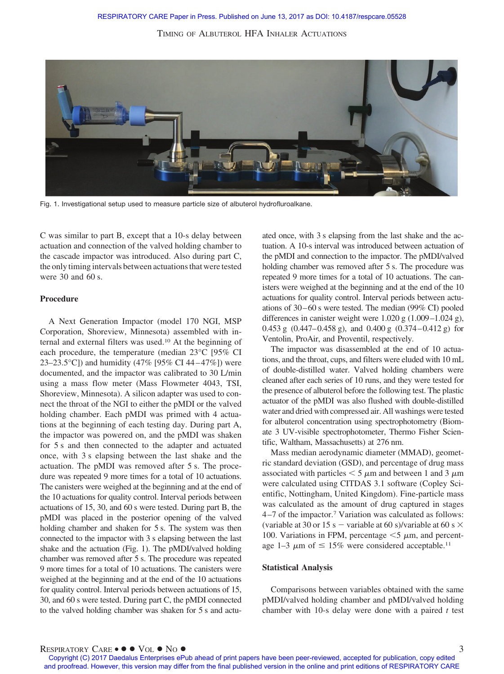

Fig. 1. Investigational setup used to measure particle size of albuterol hydrofluroalkane.

C was similar to part B, except that a 10-s delay between actuation and connection of the valved holding chamber to the cascade impactor was introduced. Also during part C, the only timing intervals between actuations that were tested were 30 and 60 s.

# **Procedure**

A Next Generation Impactor (model 170 NGI, MSP Corporation, Shoreview, Minnesota) assembled with internal and external filters was used.10 At the beginning of each procedure, the temperature (median 23°C [95% CI 23–23.5°C]) and humidity (47% [95% CI 44–47%]) were documented, and the impactor was calibrated to 30 L/min using a mass flow meter (Mass Flowmeter 4043, TSI, Shoreview, Minnesota). A silicon adapter was used to connect the throat of the NGI to either the pMDI or the valved holding chamber. Each pMDI was primed with 4 actuations at the beginning of each testing day. During part A, the impactor was powered on, and the pMDI was shaken for 5 s and then connected to the adapter and actuated once, with 3 s elapsing between the last shake and the actuation. The pMDI was removed after 5 s. The procedure was repeated 9 more times for a total of 10 actuations. The canisters were weighed at the beginning and at the end of the 10 actuations for quality control. Interval periods between actuations of 15, 30, and 60 s were tested. During part B, the pMDI was placed in the posterior opening of the valved holding chamber and shaken for 5 s. The system was then connected to the impactor with 3 s elapsing between the last shake and the actuation (Fig. 1). The pMDI/valved holding chamber was removed after 5 s. The procedure was repeated 9 more times for a total of 10 actuations. The canisters were weighed at the beginning and at the end of the 10 actuations for quality control. Interval periods between actuations of 15, 30, and 60 s were tested. During part C, the pMDI connected to the valved holding chamber was shaken for 5 s and actuated once, with 3 s elapsing from the last shake and the actuation. A 10-s interval was introduced between actuation of the pMDI and connection to the impactor. The pMDI/valved holding chamber was removed after 5 s. The procedure was repeated 9 more times for a total of 10 actuations. The canisters were weighed at the beginning and at the end of the 10 actuations for quality control. Interval periods between actuations of  $30-60$  s were tested. The median (99% CI) pooled differences in canister weight were 1.020 g (1.009–1.024 g), 0.453 g  $(0.447-0.458 \text{ g})$ , and 0.400 g  $(0.374-0.412 \text{ g})$  for Ventolin, ProAir, and Proventil, respectively.

The impactor was disassembled at the end of 10 actuations, and the throat, cups, and filters were eluded with 10 mL of double-distilled water. Valved holding chambers were cleaned after each series of 10 runs, and they were tested for the presence of albuterol before the following test. The plastic actuator of the pMDI was also flushed with double-distilled water and dried with compressed air. All washings were tested for albuterol concentration using spectrophotometry (Biomate 3 UV-visible spectrophotometer, Thermo Fisher Scientific, Waltham, Massachusetts) at 276 nm.

Mass median aerodynamic diameter (MMAD), geometric standard deviation (GSD), and percentage of drug mass associated with particles  $\leq 5 \mu$ m and between 1 and 3  $\mu$ m were calculated using CITDAS 3.1 software (Copley Scientific, Nottingham, United Kingdom). Fine-particle mass was calculated as the amount of drug captured in stages 4 –7 of the impactor.7 Variation was calculated as follows: (variable at 30 or 15 s – variable at 60 s)/variable at 60 s  $\times$ 100. Variations in FPM, percentage  $\leq$  5  $\mu$ m, and percentage 1–3  $\mu$ m of  $\leq 15\%$  were considered acceptable.<sup>11</sup>

### **Statistical Analysis**

Comparisons between variables obtained with the same pMDI/valved holding chamber and pMDI/valved holding chamber with 10-s delay were done with a paired *t* test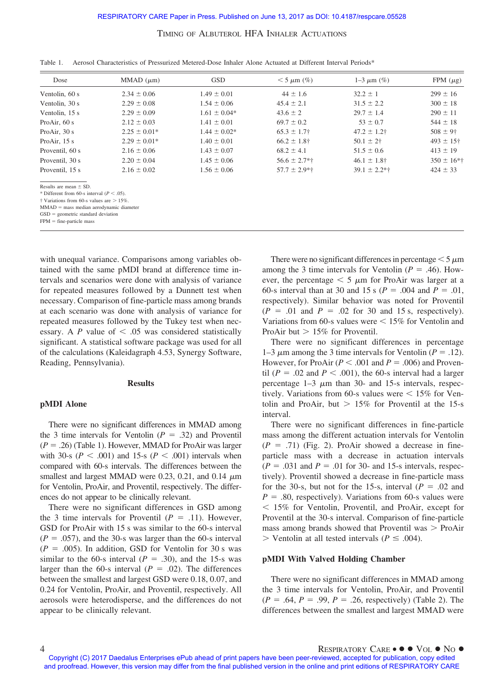| Dose                                                 | MMAD $(\mu m)$   | <b>GSD</b>       | $< 5 \mu m$ (%)  | $1 - 3 \mu m$ (%) | FPM $(\mu g)$   |
|------------------------------------------------------|------------------|------------------|------------------|-------------------|-----------------|
| Ventolin, 60 s                                       | $2.34 \pm 0.06$  | $1.49 \pm 0.01$  | $44 \pm 1.6$     | $32.2 \pm 1$      | $299 \pm 16$    |
| Ventolin, 30 s                                       | $2.29 \pm 0.08$  | $1.54 \pm 0.06$  | $45.4 \pm 2.1$   | $31.5 \pm 2.2$    | $300 \pm 18$    |
| Ventolin, 15 s                                       | $2.29 \pm 0.09$  | $1.61 \pm 0.04*$ | $43.6 \pm 2$     | $29.7 \pm 1.4$    | $290 \pm 11$    |
| Pro $Air, 60 s$                                      | $2.12 \pm 0.03$  | $1.41 \pm 0.01$  | $69.7 \pm 0.2$   | $53 \pm 0.7$      | $544 \pm 18$    |
| Pro $Air$ , 30 s                                     | $2.25 \pm 0.01*$ | $1.44 \pm 0.02*$ | $65.3 \pm 1.7$   | $47.2 \pm 1.2$ †  | $508 \pm 9$ †   |
| ProAir, 15 s                                         | $2.29 \pm 0.01*$ | $1.40 \pm 0.01$  | $66.2 \pm 1.8$ † | $50.1 \pm 2^+$    | $493 \pm 15$ †  |
| Proventil, 60 s                                      | $2.16 \pm 0.06$  | $1.43 \pm 0.07$  | $68.2 \pm 4.1$   | $51.5 \pm 0.6$    | $413 \pm 19$    |
| Proventil, 30 s                                      | $2.20 \pm 0.04$  | $1.45 \pm 0.06$  | $56.6 \pm 2.7**$ | $46.1 \pm 1.8$ †  | $350 \pm 16$ *† |
| Proventil, 15 s                                      | $2.16 \pm 0.02$  | $1.56 \pm 0.06$  | $57.7 \pm 2.9**$ | $39.1 \pm 2.2**$  | $424 \pm 33$    |
| Results are mean $\pm$ SD.                           |                  |                  |                  |                   |                 |
| * Different from 60-s interval ( $P < .05$ ).        |                  |                  |                  |                   |                 |
| $\dagger$ Variations from 60-s values are $> 15\%$ . |                  |                  |                  |                   |                 |

Table 1. Aerosol Characteristics of Pressurized Metered-Dose Inhaler Alone Actuated at Different Interval Periods\*

 $MMAD$  = mass median aerodynamic diameter

 $GSD =$  geometric standard deviation

 $FPM = fine-particle$  mass

with unequal variance. Comparisons among variables obtained with the same pMDI brand at difference time intervals and scenarios were done with analysis of variance for repeated measures followed by a Dunnett test when necessary. Comparison of fine-particle mass among brands at each scenario was done with analysis of variance for repeated measures followed by the Tukey test when necessary. A  $P$  value of  $\leq .05$  was considered statistically significant. A statistical software package was used for all of the calculations (Kaleidagraph 4.53, Synergy Software, Reading, Pennsylvania).

## **Results**

#### **pMDI Alone**

There were no significant differences in MMAD among the 3 time intervals for Ventolin  $(P = .32)$  and Proventil  $(P = .26)$  (Table 1). However, MMAD for ProAir was larger with 30-s ( $P < .001$ ) and 15-s ( $P < .001$ ) intervals when compared with 60-s intervals. The differences between the smallest and largest MMAD were 0.23, 0.21, and 0.14  $\mu$ m for Ventolin, ProAir, and Proventil, respectively. The differences do not appear to be clinically relevant.

There were no significant differences in GSD among the 3 time intervals for Proventil  $(P = .11)$ . However, GSD for ProAir with 15 s was similar to the 60-s interval  $(P = .057)$ , and the 30-s was larger than the 60-s interval  $(P = .005)$ . In addition, GSD for Ventolin for 30 s was similar to the 60-s interval  $(P = .30)$ , and the 15-s was larger than the 60-s interval ( $P = .02$ ). The differences between the smallest and largest GSD were 0.18, 0.07, and 0.24 for Ventolin, ProAir, and Proventil, respectively. All aerosols were heterodisperse, and the differences do not appear to be clinically relevant.

There were no significant differences in percentage  $\leq 5 \,\mu m$ among the 3 time intervals for Ventolin ( $P = .46$ ). However, the percentage  $\leq 5 \mu m$  for ProAir was larger at a 60-s interval than at 30 and 15 s ( $P = .004$  and  $P = .01$ , respectively). Similar behavior was noted for Proventil  $(P = .01$  and  $P = .02$  for 30 and 15 s, respectively). Variations from 60-s values were  $\leq 15\%$  for Ventolin and ProAir but  $> 15\%$  for Proventil.

There were no significant differences in percentage 1–3  $\mu$ m among the 3 time intervals for Ventolin ( $P = .12$ ). However, for ProAir  $(P < .001$  and  $P = .006$ ) and Proventil ( $P = 0.02$  and  $P < 0.001$ ), the 60-s interval had a larger percentage  $1-3 \mu m$  than 30- and 15-s intervals, respectively. Variations from 60-s values were  $\leq 15\%$  for Ventolin and ProAir, but  $> 15\%$  for Proventil at the 15-s interval.

There were no significant differences in fine-particle mass among the different actuation intervals for Ventolin  $(P = .71)$  (Fig. 2). ProAir showed a decrease in fineparticle mass with a decrease in actuation intervals  $(P = .031$  and  $P = .01$  for 30- and 15-s intervals, respectively). Proventil showed a decrease in fine-particle mass for the 30-s, but not for the 15-s, interval  $(P = .02$  and  $P = .80$ , respectively). Variations from 60-s values were - 15% for Ventolin, Proventil, and ProAir, except for Proventil at the 30-s interval. Comparison of fine-particle mass among brands showed that Proventil was  $>$  ProAir  $>$  Ventolin at all tested intervals ( $P \leq .004$ ).

#### **pMDI With Valved Holding Chamber**

There were no significant differences in MMAD among the 3 time intervals for Ventolin, ProAir, and Proventil  $(P = .64, P = .99, P = .26$ , respectively) (Table 2). The differences between the smallest and largest MMAD were

Copyright (C) 2017 Daedalus Enterprises ePub ahead of print papers have been peer-reviewed, accepted for publication, copy edited and proofread. However, this version may differ from the final published version in the online and print editions of RESPIRATORY CARE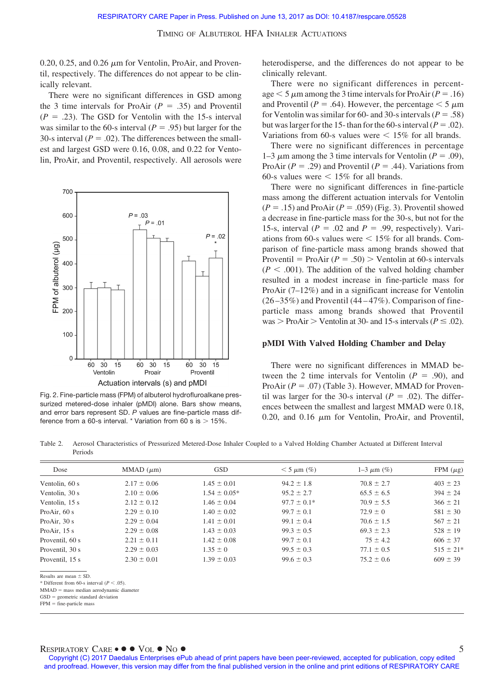$0.20, 0.25,$  and  $0.26 \mu m$  for Ventolin, ProAir, and Proventil, respectively. The differences do not appear to be clinically relevant.

There were no significant differences in GSD among the 3 time intervals for ProAir  $(P = .35)$  and Proventil  $(P = .23)$ . The GSD for Ventolin with the 15-s interval was similar to the 60-s interval  $(P = .95)$  but larger for the 30-s interval  $(P = .02)$ . The differences between the smallest and largest GSD were 0.16, 0.08, and 0.22 for Ventolin, ProAir, and Proventil, respectively. All aerosols were



Fig. 2. Fine-particle mass (FPM) of albuterol hydrofluroalkane pressurized metered-dose inhaler (pMDI) alone. Bars show means, and error bars represent SD. *P* values are fine-particle mass difference from a 60-s interval.  $*$  Variation from 60 s is  $>$  15%.

heterodisperse, and the differences do not appear to be clinically relevant.

There were no significant differences in percentage  $<$  5  $\mu$ m among the 3 time intervals for ProAir (*P* = .16) and Proventil ( $P = .64$ ). However, the percentage  $\lt 5 \mu m$ for Ventolin was similar for 60- and 30-s intervals ( $P = .58$ ) but was larger for the 15- than for the 60-s interval ( $P = .02$ ). Variations from 60-s values were  $\leq 15\%$  for all brands.

There were no significant differences in percentage 1–3  $\mu$ m among the 3 time intervals for Ventolin ( $P = .09$ ), ProAir  $(P = .29)$  and Proventil  $(P = .44)$ . Variations from 60-s values were  $\leq 15\%$  for all brands.

There were no significant differences in fine-particle mass among the different actuation intervals for Ventolin  $(P = .15)$  and ProAir  $(P = .059)$  (Fig. 3). Proventil showed a decrease in fine-particle mass for the 30-s, but not for the 15-s, interval ( $P = .02$  and  $P = .99$ , respectively). Variations from 60-s values were  $\leq 15\%$  for all brands. Comparison of fine-particle mass among brands showed that Proventil = ProAir  $(P = .50)$  > Ventolin at 60-s intervals  $(P < .001)$ . The addition of the valved holding chamber resulted in a modest increase in fine-particle mass for ProAir (7–12%) and in a significant increase for Ventolin  $(26 - 35\%)$  and Proventil  $(44 - 47\%)$ . Comparison of fineparticle mass among brands showed that Proventil was > ProAir > Ventolin at 30- and 15-s intervals ( $P \leq .02$ ).

#### **pMDI With Valved Holding Chamber and Delay**

There were no significant differences in MMAD between the 2 time intervals for Ventolin  $(P = .90)$ , and ProAir  $(P = .07)$  (Table 3). However, MMAD for Proventil was larger for the 30-s interval  $(P = .02)$ . The differences between the smallest and largest MMAD were 0.18, 0.20, and 0.16  $\mu$ m for Ventolin, ProAir, and Proventil,

Table 2. Aerosol Characteristics of Pressurized Metered-Dose Inhaler Coupled to a Valved Holding Chamber Actuated at Different Interval Periods

| Dose                                                                                       | MMAD $(\mu m)$  | <b>GSD</b>       | $< 5 \mu m$ (%) | $1 - 3 \mu m$ (%) | FPM $(\mu g)$ |
|--------------------------------------------------------------------------------------------|-----------------|------------------|-----------------|-------------------|---------------|
| Ventolin, 60 s                                                                             | $2.17 \pm 0.06$ | $1.45 \pm 0.01$  | $94.2 \pm 1.8$  | $70.8 \pm 2.7$    | $403 \pm 23$  |
| Ventolin, 30 s                                                                             | $2.10 \pm 0.06$ | $1.54 \pm 0.05*$ | $95.2 \pm 2.7$  | $65.5 \pm 6.5$    | $394 \pm 24$  |
| Ventolin, 15 s                                                                             | $2.12 \pm 0.12$ | $1.46 \pm 0.04$  | $97.7 \pm 0.1*$ | $70.9 \pm 5.5$    | $366 \pm 21$  |
| Pro $Air, 60 s$                                                                            | $2.29 \pm 0.10$ | $1.40 \pm 0.02$  | $99.7 \pm 0.1$  | $72.9 \pm 0$      | $581 \pm 30$  |
| Pro $Air$ , 30 s                                                                           | $2.29 \pm 0.04$ | $1.41 \pm 0.01$  | $99.1 \pm 0.4$  | $70.6 \pm 1.5$    | $567 \pm 21$  |
| Pro $Air$ , 15 s                                                                           | $2.29 \pm 0.08$ | $1.43 \pm 0.03$  | $99.3 \pm 0.5$  | $69.3 \pm 2.3$    | $528 \pm 19$  |
| Proventil, 60 s                                                                            | $2.21 \pm 0.11$ | $1.42 \pm 0.08$  | $99.7 \pm 0.1$  | $75 \pm 4.2$      | $606 \pm 37$  |
| Proventil, 30 s                                                                            | $2.29 \pm 0.03$ | $1.35 \pm 0$     | $99.5 \pm 0.3$  | $77.1 \pm 0.5$    | $515 \pm 21*$ |
| Proventil, 15 s                                                                            | $2.30 \pm 0.01$ | $1.39 \pm 0.03$  | $99.6 \pm 0.3$  | $75.2 \pm 0.6$    | $609 \pm 39$  |
| Results are mean $\pm$ SD.                                                                 |                 |                  |                 |                   |               |
| * Different from 60-s interval ( $P < .05$ ).<br>$MMAD$ = mass median aerodynamic diameter |                 |                  |                 |                   |               |

 $GSD =$  geometric standard deviation

 $FPM = fine-particle mass$ 

# RESPIRATORY CARE •  $\bullet \bullet$  Vol  $\bullet$  No  $\bullet$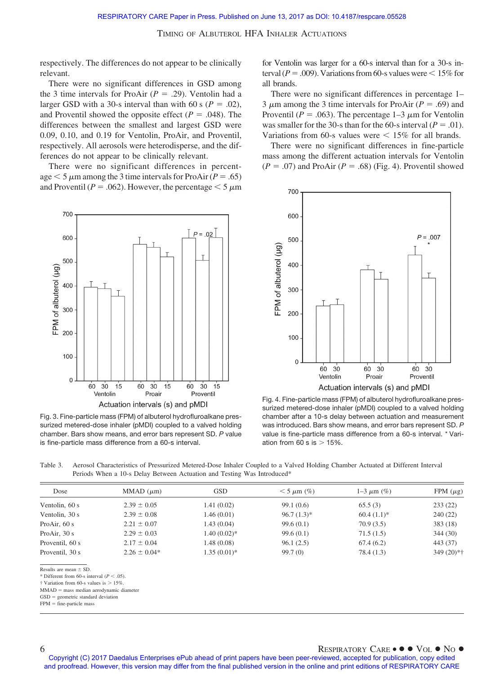respectively. The differences do not appear to be clinically relevant.

There were no significant differences in GSD among the 3 time intervals for ProAir  $(P = .29)$ . Ventolin had a larger GSD with a 30-s interval than with 60 s ( $P = .02$ ), and Proventil showed the opposite effect ( $P = .048$ ). The differences between the smallest and largest GSD were 0.09, 0.10, and 0.19 for Ventolin, ProAir, and Proventil, respectively. All aerosols were heterodisperse, and the differences do not appear to be clinically relevant.

There were no significant differences in percentage  $<$  5  $\mu$ m among the 3 time intervals for ProAir (*P* = .65) and Proventil ( $P = .062$ ). However, the percentage  $\leq 5 \mu m$ 



Fig. 3. Fine-particle mass (FPM) of albuterol hydrofluroalkane pressurized metered-dose inhaler (pMDI) coupled to a valved holding chamber. Bars show means, and error bars represent SD. *P* value is fine-particle mass difference from a 60-s interval.

for Ventolin was larger for a 60-s interval than for a 30-s interval ( $P = .009$ ). Variations from 60-s values were  $\leq 15\%$  for all brands.

There were no significant differences in percentage 1– 3  $\mu$ m among the 3 time intervals for ProAir ( $P = .69$ ) and Proventil ( $P = .063$ ). The percentage 1–3  $\mu$ m for Ventolin was smaller for the 30-s than for the 60-s interval ( $P = .01$ ). Variations from 60-s values were  $\leq 15\%$  for all brands.

There were no significant differences in fine-particle mass among the different actuation intervals for Ventolin  $(P = .07)$  and ProAir  $(P = .68)$  (Fig. 4). Proventil showed



Fig. 4. Fine-particle mass (FPM) of albuterol hydrofluroalkane pressurized metered-dose inhaler (pMDI) coupled to a valved holding chamber after a 10-s delay between actuation and measurement was introduced. Bars show means, and error bars represent SD. *P* value is fine-particle mass difference from a 60-s interval. \* Variation from 60 s is  $> 15%$ .

Table 3. Aerosol Characteristics of Pressurized Metered-Dose Inhaler Coupled to a Valved Holding Chamber Actuated at Different Interval Periods When a 10-s Delay Between Actuation and Testing Was Introduced\*

| Dose             | MMAD $(\mu m)$   | <b>GSD</b>    | $<$ 5 $\mu$ m (%) | $1 - 3 \mu m$ (%) | FPM $(\mu$ g) |
|------------------|------------------|---------------|-------------------|-------------------|---------------|
| Ventolin, 60 s   | $2.39 \pm 0.05$  | 1.41(0.02)    | 99.1(0.6)         | 65.5(3)           | 233(22)       |
| Ventolin, 30 s   | $2.39 \pm 0.08$  | 1.46(0.01)    | $96.7(1.3)*$      | $60.4(1.1)*$      | 240(22)       |
| Pro $Air, 60 s$  | $2.21 \pm 0.07$  | 1.43(0.04)    | 99.6(0.1)         | 70.9(3.5)         | 383(18)       |
| Pro $Air$ , 30 s | $2.29 \pm 0.03$  | $1.40(0.02)*$ | 99.6(0.1)         | 71.5(1.5)         | 344(30)       |
| Proventil, 60 s  | $2.17 \pm 0.04$  | 1.48(0.08)    | 96.1(2.5)         | 67.4(6.2)         | 443 (37)      |
| Proventil, 30 s  | $2.26 \pm 0.04*$ | $1.35(0.01)*$ | 99.7(0)           | 78.4 (1.3)        | $349(20)*†$   |

Results are mean  $\pm$  SD.

\* Different from 60-s interval  $(P < .05)$ .

 $\dagger$  Variation from 60-s values is  $> 15\%$ 

MMAD = mass median aerodynamic diameter

 $GSD =$  geometric standard deviation

 $FPM = fine-particle mass$ 

## 6 RESPIRATORY CARE • ● ● VOL ● NO ●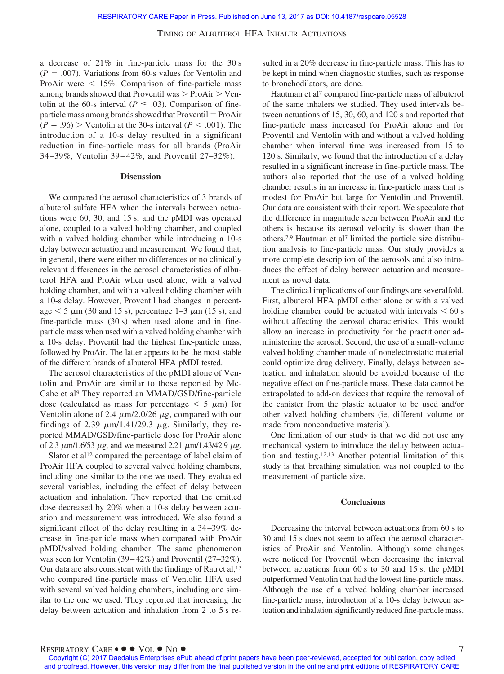a decrease of 21% in fine-particle mass for the 30 s  $(P = .007)$ . Variations from 60-s values for Ventolin and ProAir were  $\leq 15\%$ . Comparison of fine-particle mass among brands showed that Proventil was  $>$  ProAir  $>$  Ventolin at the 60-s interval ( $P \leq .03$ ). Comparison of fineparticle mass among brands showed that  $Proventil = ProAir$  $(P = .96)$  > Ventolin at the 30-s interval ( $P < .001$ ). The introduction of a 10-s delay resulted in a significant reduction in fine-particle mass for all brands (ProAir 34 –39%, Ventolin 39 – 42%, and Proventil 27–32%).

## **Discussion**

We compared the aerosol characteristics of 3 brands of albuterol sulfate HFA when the intervals between actuations were 60, 30, and 15 s, and the pMDI was operated alone, coupled to a valved holding chamber, and coupled with a valved holding chamber while introducing a 10-s delay between actuation and measurement. We found that, in general, there were either no differences or no clinically relevant differences in the aerosol characteristics of albuterol HFA and ProAir when used alone, with a valved holding chamber, and with a valved holding chamber with a 10-s delay. However, Proventil had changes in percentage  $\leq 5 \mu m$  (30 and 15 s), percentage 1–3  $\mu m$  (15 s), and fine-particle mass (30 s) when used alone and in fineparticle mass when used with a valved holding chamber with a 10-s delay. Proventil had the highest fine-particle mass, followed by ProAir. The latter appears to be the most stable of the different brands of albuterol HFA pMDI tested.

The aerosol characteristics of the pMDI alone of Ventolin and ProAir are similar to those reported by Mc-Cabe et al<sup>9</sup> They reported an MMAD/GSD/fine-particle dose (calculated as mass for percentage  $\leq 5 \mu m$ ) for Ventolin alone of 2.4  $\mu$ m/2.0/26  $\mu$ g, compared with our findings of 2.39  $\mu$ m/1.41/29.3  $\mu$ g. Similarly, they reported MMAD/GSD/fine-particle dose for ProAir alone of 2.3  $\mu$ m/1.6/53  $\mu$ g, and we measured 2.21  $\mu$ m/1.43/42.9  $\mu$ g.

Slator et al<sup>12</sup> compared the percentage of label claim of ProAir HFA coupled to several valved holding chambers, including one similar to the one we used. They evaluated several variables, including the effect of delay between actuation and inhalation. They reported that the emitted dose decreased by 20% when a 10-s delay between actuation and measurement was introduced. We also found a significant effect of the delay resulting in a 34 –39% decrease in fine-particle mass when compared with ProAir pMDI/valved holding chamber. The same phenomenon was seen for Ventolin (39–42%) and Proventil (27–32%). Our data are also consistent with the findings of Rau et al,<sup>13</sup> who compared fine-particle mass of Ventolin HFA used with several valved holding chambers, including one similar to the one we used. They reported that increasing the delay between actuation and inhalation from 2 to 5 s resulted in a 20% decrease in fine-particle mass. This has to be kept in mind when diagnostic studies, such as response to bronchodilators, are done.

Hautman et al<sup>7</sup> compared fine-particle mass of albuterol of the same inhalers we studied. They used intervals between actuations of 15, 30, 60, and 120 s and reported that fine-particle mass increased for ProAir alone and for Proventil and Ventolin with and without a valved holding chamber when interval time was increased from 15 to 120 s. Similarly, we found that the introduction of a delay resulted in a significant increase in fine-particle mass. The authors also reported that the use of a valved holding chamber results in an increase in fine-particle mass that is modest for ProAir but large for Ventolin and Proventil. Our data are consistent with their report. We speculate that the difference in magnitude seen between ProAir and the others is because its aerosol velocity is slower than the others.7,9 Hautman et al7 limited the particle size distribution analysis to fine-particle mass. Our study provides a more complete description of the aerosols and also introduces the effect of delay between actuation and measurement as novel data.

The clinical implications of our findings are severalfold. First, albuterol HFA pMDI either alone or with a valved holding chamber could be actuated with intervals  $\leq 60$  s without affecting the aerosol characteristics. This would allow an increase in productivity for the practitioner administering the aerosol. Second, the use of a small-volume valved holding chamber made of nonelectrostatic material could optimize drug delivery. Finally, delays between actuation and inhalation should be avoided because of the negative effect on fine-particle mass. These data cannot be extrapolated to add-on devices that require the removal of the canister from the plastic actuator to be used and/or other valved holding chambers (ie, different volume or made from nonconductive material).

One limitation of our study is that we did not use any mechanical system to introduce the delay between actuation and testing.12,13 Another potential limitation of this study is that breathing simulation was not coupled to the measurement of particle size.

### **Conclusions**

Decreasing the interval between actuations from 60 s to 30 and 15 s does not seem to affect the aerosol characteristics of ProAir and Ventolin. Although some changes were noticed for Proventil when decreasing the interval between actuations from 60 s to 30 and 15 s, the pMDI outperformed Ventolin that had the lowest fine-particle mass. Although the use of a valved holding chamber increased fine-particle mass, introduction of a 10-s delay between actuation and inhalation significantly reduced fine-particle mass.